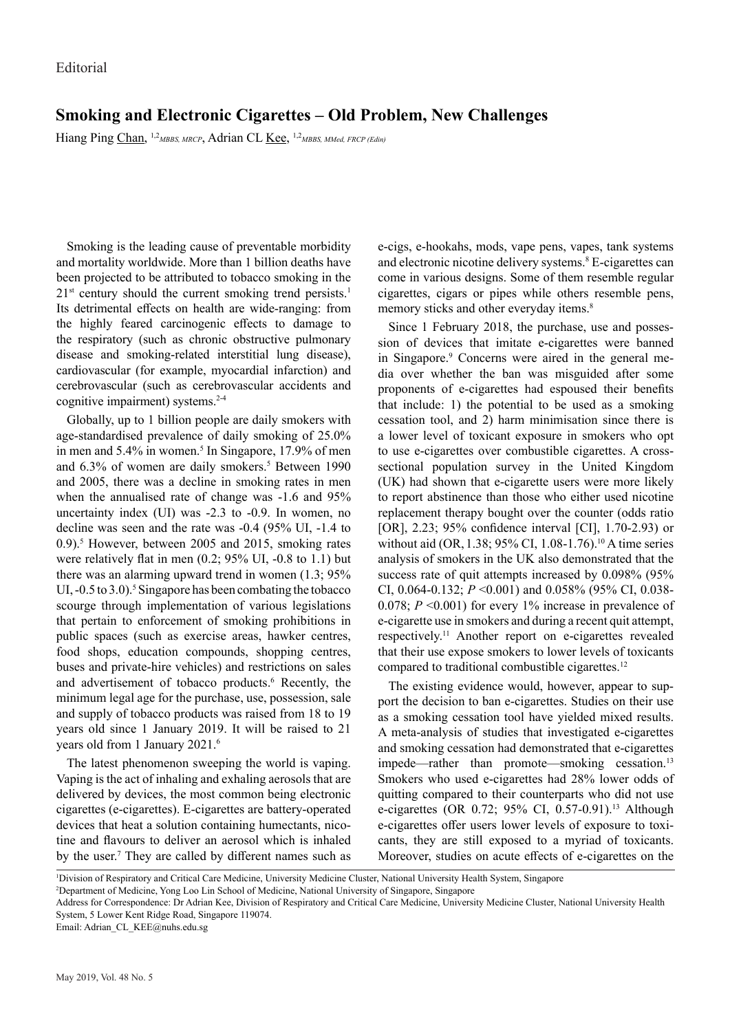## **Smoking and Electronic Cigarettes – Old Problem, New Challenges**

Hiang Ping Chan, <sup>1,2</sup>*MBBS, MRCP*, Adrian CL <u>Kee</u>, <sup>1,2</sup>*MBBS, MMed, FRCP* (Edin)

Smoking is the leading cause of preventable morbidity and mortality worldwide. More than 1 billion deaths have been projected to be attributed to tobacco smoking in the  $21<sup>st</sup>$  century should the current smoking trend persists.<sup>1</sup> Its detrimental effects on health are wide-ranging: from the highly feared carcinogenic effects to damage to the respiratory (such as chronic obstructive pulmonary disease and smoking-related interstitial lung disease), cardiovascular (for example, myocardial infarction) and cerebrovascular (such as cerebrovascular accidents and cognitive impairment) systems.2-4

Globally, up to 1 billion people are daily smokers with age-standardised prevalence of daily smoking of 25.0% in men and 5.4% in women.<sup>5</sup> In Singapore, 17.9% of men and 6.3% of women are daily smokers.<sup>5</sup> Between 1990 and 2005, there was a decline in smoking rates in men when the annualised rate of change was -1.6 and 95% uncertainty index (UI) was -2.3 to -0.9. In women, no decline was seen and the rate was -0.4 (95% UI, -1.4 to 0.9).<sup>5</sup> However, between 2005 and 2015, smoking rates were relatively flat in men (0.2; 95% UI, -0.8 to 1.1) but there was an alarming upward trend in women (1.3; 95% UI,  $-0.5$  to 3.0).<sup>5</sup> Singapore has been combating the tobacco scourge through implementation of various legislations that pertain to enforcement of smoking prohibitions in public spaces (such as exercise areas, hawker centres, food shops, education compounds, shopping centres, buses and private-hire vehicles) and restrictions on sales and advertisement of tobacco products.<sup>6</sup> Recently, the minimum legal age for the purchase, use, possession, sale and supply of tobacco products was raised from 18 to 19 years old since 1 January 2019. It will be raised to 21 years old from 1 January 2021.6

The latest phenomenon sweeping the world is vaping. Vaping is the act of inhaling and exhaling aerosols that are delivered by devices, the most common being electronic cigarettes (e-cigarettes). E-cigarettes are battery-operated devices that heat a solution containing humectants, nicotine and flavours to deliver an aerosol which is inhaled by the user.<sup>7</sup> They are called by different names such as e-cigs, e-hookahs, mods, vape pens, vapes, tank systems and electronic nicotine delivery systems.<sup>8</sup> E-cigarettes can come in various designs. Some of them resemble regular cigarettes, cigars or pipes while others resemble pens, memory sticks and other everyday items.<sup>8</sup>

Since 1 February 2018, the purchase, use and possession of devices that imitate e-cigarettes were banned in Singapore.<sup>9</sup> Concerns were aired in the general media over whether the ban was misguided after some proponents of e-cigarettes had espoused their benefits that include: 1) the potential to be used as a smoking cessation tool, and 2) harm minimisation since there is a lower level of toxicant exposure in smokers who opt to use e-cigarettes over combustible cigarettes. A crosssectional population survey in the United Kingdom (UK) had shown that e-cigarette users were more likely to report abstinence than those who either used nicotine replacement therapy bought over the counter (odds ratio [OR], 2.23; 95% confidence interval [CI], 1.70-2.93) or without aid (OR, 1.38; 95% CI, 1.08-1.76).<sup>10</sup> A time series analysis of smokers in the UK also demonstrated that the success rate of quit attempts increased by 0.098% (95% CI, 0.064-0.132; *P* <0.001) and 0.058% (95% CI, 0.038- 0.078; *P* <0.001) for every 1% increase in prevalence of e-cigarette use in smokers and during a recent quit attempt, respectively.11 Another report on e-cigarettes revealed that their use expose smokers to lower levels of toxicants compared to traditional combustible cigarettes.12

The existing evidence would, however, appear to support the decision to ban e-cigarettes. Studies on their use as a smoking cessation tool have yielded mixed results. A meta-analysis of studies that investigated e-cigarettes and smoking cessation had demonstrated that e-cigarettes impede—rather than promote—smoking cessation.<sup>13</sup> Smokers who used e-cigarettes had 28% lower odds of quitting compared to their counterparts who did not use e-cigarettes (OR 0.72; 95% CI, 0.57-0.91).<sup>13</sup> Although e-cigarettes offer users lower levels of exposure to toxicants, they are still exposed to a myriad of toxicants. Moreover, studies on acute effects of e-cigarettes on the

Email: Adrian\_CL\_KEE@nuhs.edu.sg

<sup>1</sup> Division of Respiratory and Critical Care Medicine, University Medicine Cluster, National University Health System, Singapore

<sup>2</sup> Department of Medicine, Yong Loo Lin School of Medicine, National University of Singapore, Singapore

Address for Correspondence: Dr Adrian Kee, Division of Respiratory and Critical Care Medicine, University Medicine Cluster, National University Health System, 5 Lower Kent Ridge Road, Singapore 119074.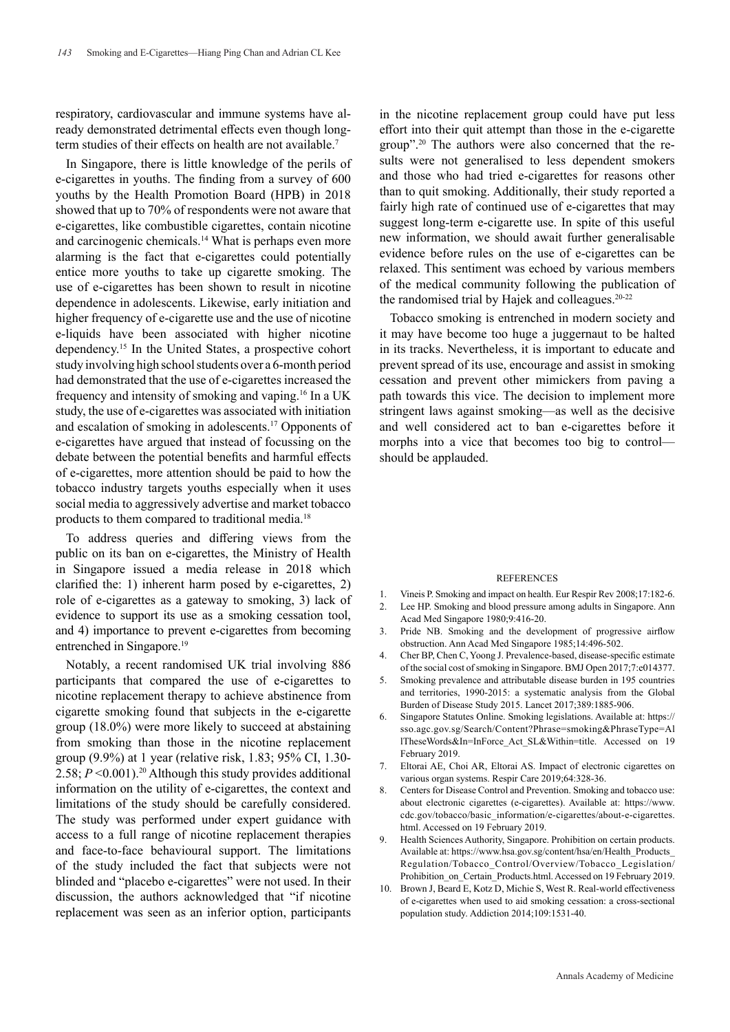respiratory, cardiovascular and immune systems have already demonstrated detrimental effects even though longterm studies of their effects on health are not available.<sup>7</sup>

In Singapore, there is little knowledge of the perils of e-cigarettes in youths. The finding from a survey of 600 youths by the Health Promotion Board (HPB) in 2018 showed that up to 70% of respondents were not aware that e-cigarettes, like combustible cigarettes, contain nicotine and carcinogenic chemicals.<sup>14</sup> What is perhaps even more alarming is the fact that e-cigarettes could potentially entice more youths to take up cigarette smoking. The use of e-cigarettes has been shown to result in nicotine dependence in adolescents. Likewise, early initiation and higher frequency of e-cigarette use and the use of nicotine e-liquids have been associated with higher nicotine dependency.15 In the United States, a prospective cohort study involving high school students over a 6-month period had demonstrated that the use of e-cigarettes increased the frequency and intensity of smoking and vaping.16 In a UK study, the use of e-cigarettes was associated with initiation and escalation of smoking in adolescents.17 Opponents of e-cigarettes have argued that instead of focussing on the debate between the potential benefits and harmful effects of e-cigarettes, more attention should be paid to how the tobacco industry targets youths especially when it uses social media to aggressively advertise and market tobacco products to them compared to traditional media.<sup>18</sup>

To address queries and differing views from the public on its ban on e-cigarettes, the Ministry of Health in Singapore issued a media release in 2018 which clarified the: 1) inherent harm posed by e-cigarettes, 2) role of e-cigarettes as a gateway to smoking, 3) lack of evidence to support its use as a smoking cessation tool, and 4) importance to prevent e-cigarettes from becoming entrenched in Singapore.<sup>19</sup>

Notably, a recent randomised UK trial involving 886 participants that compared the use of e-cigarettes to nicotine replacement therapy to achieve abstinence from cigarette smoking found that subjects in the e-cigarette group (18.0%) were more likely to succeed at abstaining from smoking than those in the nicotine replacement group (9.9%) at 1 year (relative risk, 1.83; 95% CI, 1.30- 2.58;  $P \le 0.001$ ).<sup>20</sup> Although this study provides additional information on the utility of e-cigarettes, the context and limitations of the study should be carefully considered. The study was performed under expert guidance with access to a full range of nicotine replacement therapies and face-to-face behavioural support. The limitations of the study included the fact that subjects were not blinded and "placebo e-cigarettes" were not used. In their discussion, the authors acknowledged that "if nicotine replacement was seen as an inferior option, participants

in the nicotine replacement group could have put less effort into their quit attempt than those in the e-cigarette group".20 The authors were also concerned that the results were not generalised to less dependent smokers and those who had tried e-cigarettes for reasons other than to quit smoking. Additionally, their study reported a fairly high rate of continued use of e-cigarettes that may suggest long-term e-cigarette use. In spite of this useful new information, we should await further generalisable evidence before rules on the use of e-cigarettes can be relaxed. This sentiment was echoed by various members of the medical community following the publication of the randomised trial by Hajek and colleagues.<sup>20-22</sup>

Tobacco smoking is entrenched in modern society and it may have become too huge a juggernaut to be halted in its tracks. Nevertheless, it is important to educate and prevent spread of its use, encourage and assist in smoking cessation and prevent other mimickers from paving a path towards this vice. The decision to implement more stringent laws against smoking—as well as the decisive and well considered act to ban e-cigarettes before it morphs into a vice that becomes too big to control should be applauded.

## **REFERENCES**

- 1. Vineis P. Smoking and impact on health. Eur Respir Rev 2008;17:182-6.
- 2. Lee HP. Smoking and blood pressure among adults in Singapore. Ann Acad Med Singapore 1980;9:416-20.
- 3. Pride NB. Smoking and the development of progressive airflow obstruction. Ann Acad Med Singapore 1985;14:496-502.
- 4. Cher BP, Chen C, Yoong J. Prevalence-based, disease-specific estimate of the social cost of smoking in Singapore. BMJ Open 2017;7:e014377.
- 5. Smoking prevalence and attributable disease burden in 195 countries and territories, 1990-2015: a systematic analysis from the Global Burden of Disease Study 2015. Lancet 2017;389:1885-906.
- 6. Singapore Statutes Online. Smoking legislations. Available at: https:// sso.agc.gov.sg/Search/Content?Phrase=smoking&PhraseType=Al lTheseWords&In=InForce\_Act\_SL&Within=title. Accessed on 19 February 2019.
- 7. Eltorai AE, Choi AR, Eltorai AS. Impact of electronic cigarettes on various organ systems. Respir Care 2019;64:328-36.
- Centers for Disease Control and Prevention. Smoking and tobacco use: about electronic cigarettes (e-cigarettes). Available at: https://www. cdc.gov/tobacco/basic\_information/e-cigarettes/about-e-cigarettes. html. Accessed on 19 February 2019.
- Health Sciences Authority, Singapore. Prohibition on certain products. Available at: https://www.hsa.gov.sg/content/hsa/en/Health\_Products\_ Regulation/Tobacco\_Control/Overview/Tobacco\_Legislation/ Prohibition on Certain Products.html. Accessed on 19 February 2019.
- 10. Brown J, Beard E, Kotz D, Michie S, West R. Real-world effectiveness of e-cigarettes when used to aid smoking cessation: a cross-sectional population study. Addiction 2014;109:1531-40.